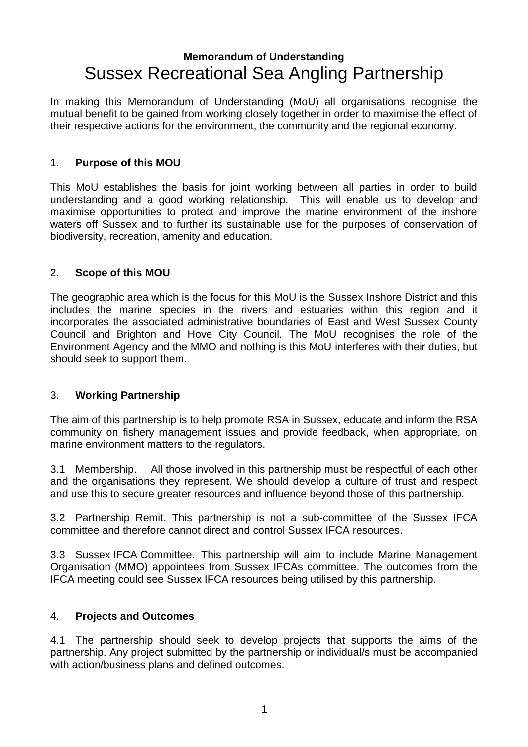# **Memorandum of Understanding** Sussex Recreational Sea Angling Partnership

In making this Memorandum of Understanding (MoU) all organisations recognise the mutual benefit to be gained from working closely together in order to maximise the effect of their respective actions for the environment, the community and the regional economy.

## 1. **Purpose of this MOU**

This MoU establishes the basis for joint working between all parties in order to build understanding and a good working relationship. This will enable us to develop and maximise opportunities to protect and improve the marine environment of the inshore waters off Sussex and to further its sustainable use for the purposes of conservation of biodiversity, recreation, amenity and education.

### 2. **Scope of this MOU**

The geographic area which is the focus for this MoU is the Sussex Inshore District and this includes the marine species in the rivers and estuaries within this region and it incorporates the associated administrative boundaries of East and West Sussex County Council and Brighton and Hove City Council. The MoU recognises the role of the Environment Agency and the MMO and nothing is this MoU interferes with their duties, but should seek to support them.

#### 3. **Working Partnership**

The aim of this partnership is to help promote RSA in Sussex, educate and inform the RSA community on fishery management issues and provide feedback, when appropriate, on marine environment matters to the regulators.

3.1 Membership. All those involved in this partnership must be respectful of each other and the organisations they represent. We should develop a culture of trust and respect and use this to secure greater resources and influence beyond those of this partnership.

3.2 Partnership Remit. This partnership is not a sub-committee of the Sussex IFCA committee and therefore cannot direct and control Sussex IFCA resources.

3.3 Sussex IFCA Committee. This partnership will aim to include Marine Management Organisation (MMO) appointees from Sussex IFCAs committee. The outcomes from the IFCA meeting could see Sussex IFCA resources being utilised by this partnership.

#### 4. **Projects and Outcomes**

4.1 The partnership should seek to develop projects that supports the aims of the partnership. Any project submitted by the partnership or individual/s must be accompanied with action/business plans and defined outcomes.